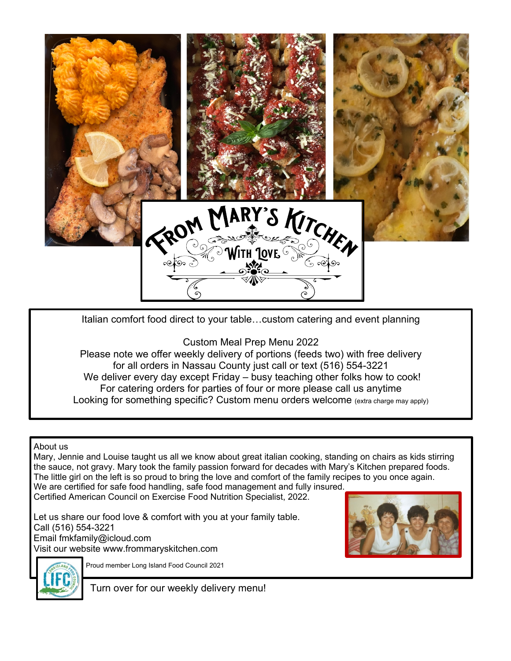

Italian comfort food direct to your table…custom catering and event planning

Custom Meal Prep Menu 2022

Please note we offer weekly delivery of portions (feeds two) with free delivery for all orders in Nassau County just call or text (516) 554-3221 We deliver every day except Friday – busy teaching other folks how to cook! For catering orders for parties of four or more please call us anytime Looking for something specific? Custom menu orders welcome (extra charge may apply)

About us

Mary, Jennie and Louise taught us all we know about great italian cooking, standing on chairs as kids stirring the sauce, not gravy. Mary took the family passion forward for decades with Mary's Kitchen prepared foods. The little girl on the left is so proud to bring the love and comfort of the family recipes to you once again. We are certified for safe food handling, safe food management and fully insured.

Certified American Council on Exercise Food Nutrition Specialist, 2022.

Let us share our food love & comfort with you at your family table. Call (516) 554-3221 Email fmkfamily@icloud.com Visit our website www.frommaryskitchen.com





Proud member Long Island Food Council 2021

Turn over for our weekly delivery menu!